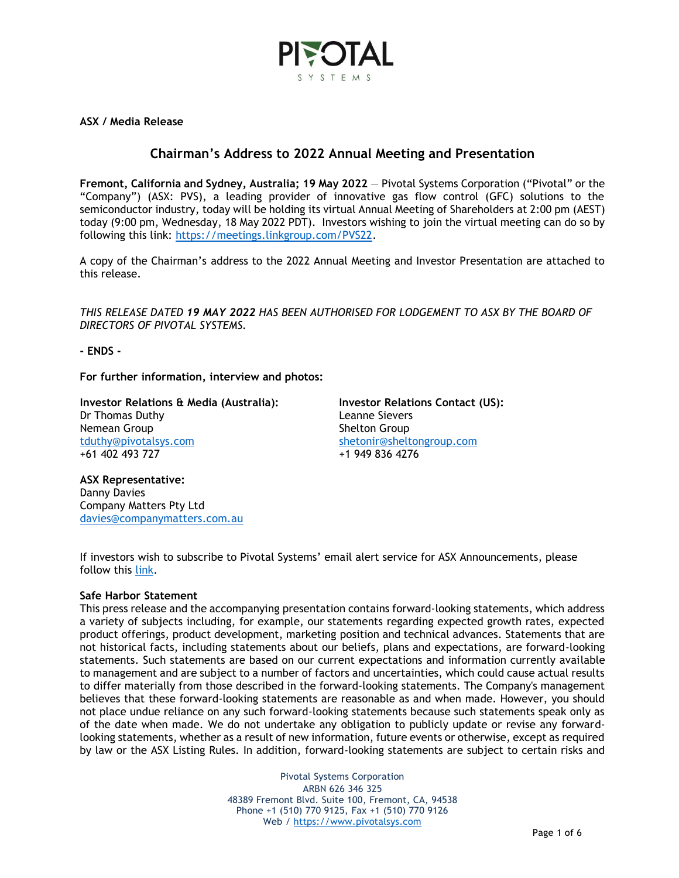

**ASX / Media Release**

## **Chairman's Address to 2022 Annual Meeting and Presentation**

**Fremont, California and Sydney, Australia; 19 May 2022** — Pivotal Systems Corporation ("Pivotal" or the "Company") (ASX: PVS), a leading provider of innovative gas flow control (GFC) solutions to the semiconductor industry, today will be holding its virtual Annual Meeting of Shareholders at 2:00 pm (AEST) today (9:00 pm, Wednesday, 18 May 2022 PDT). Investors wishing to join the virtual meeting can do so by following this link: [https://meetings.linkgroup.com/PVS22.](https://meetings.linkgroup.com/PVS22)

A copy of the Chairman's address to the 2022 Annual Meeting and Investor Presentation are attached to this release.

*THIS RELEASE DATED 19 MAY 2022 HAS BEEN AUTHORISED FOR LODGEMENT TO ASX BY THE BOARD OF DIRECTORS OF PIVOTAL SYSTEMS.*

**- ENDS -**

**For further information, interview and photos:**

**Investor Relations & Media (Australia):** Dr Thomas Duthy Nemean Group [tduthy@pivotalsys.com](mailto:tduthy@pivotalsys.com.au) +61 402 493 727

**Investor Relations Contact (US):**  Leanne Sievers Shelton Group [shetonir@sheltongroup.com](mailto:shetonir@sheltongroup.com) +1 949 836 4276

**ASX Representative:**  Danny Davies Company Matters Pty Ltd [davies@companymatters.com.au](mailto:davies@companymatters.com.au)

If investors wish to subscribe to Pivotal Systems' email alert service for ASX Announcements, please follow this [link.](https://www.pivotalsys.com/investors#asx)

### **Safe Harbor Statement**

This press release and the accompanying presentation contains forward-looking statements, which address a variety of subjects including, for example, our statements regarding expected growth rates, expected product offerings, product development, marketing position and technical advances. Statements that are not historical facts, including statements about our beliefs, plans and expectations, are forward-looking statements. Such statements are based on our current expectations and information currently available to management and are subject to a number of factors and uncertainties, which could cause actual results to differ materially from those described in the forward-looking statements. The Company's management believes that these forward-looking statements are reasonable as and when made. However, you should not place undue reliance on any such forward-looking statements because such statements speak only as of the date when made. We do not undertake any obligation to publicly update or revise any forwardlooking statements, whether as a result of new information, future events or otherwise, except as required by law or the ASX Listing Rules. In addition, forward-looking statements are subject to certain risks and

> Pivotal Systems Corporation ARBN 626 346 325 48389 Fremont Blvd. Suite 100, Fremont, CA, 94538 Phone +1 (510) 770 9125, Fax +1 (510) 770 9126 Web / [https://www.pivotalsys.com](https://www.pivotalsys.com/)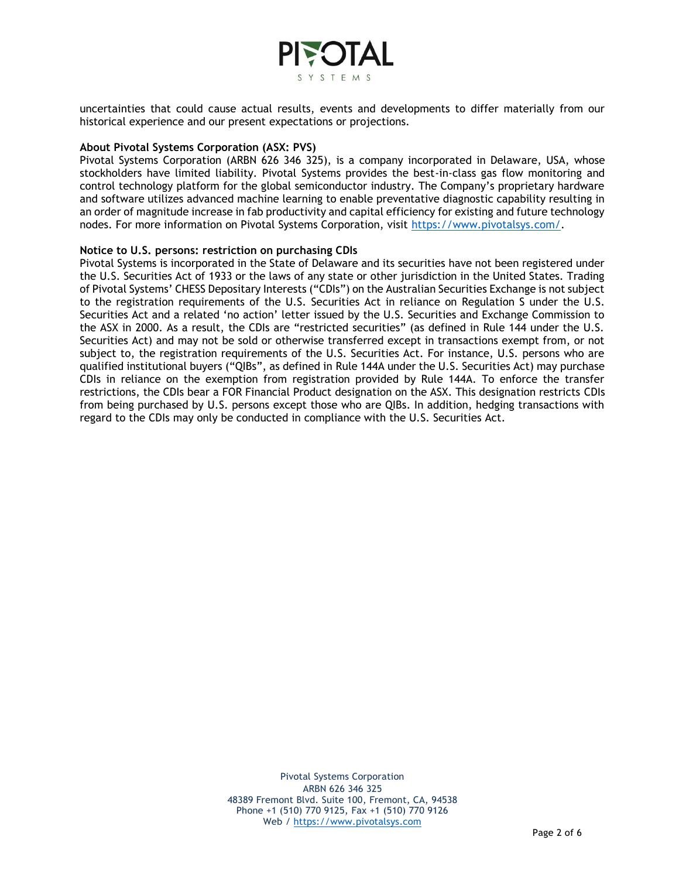

uncertainties that could cause actual results, events and developments to differ materially from our historical experience and our present expectations or projections.

#### **About Pivotal Systems Corporation (ASX: PVS)**

Pivotal Systems Corporation (ARBN 626 346 325), is a company incorporated in Delaware, USA, whose stockholders have limited liability. Pivotal Systems provides the best-in-class gas flow monitoring and control technology platform for the global semiconductor industry. The Company's proprietary hardware and software utilizes advanced machine learning to enable preventative diagnostic capability resulting in an order of magnitude increase in fab productivity and capital efficiency for existing and future technology nodes. For more information on Pivotal Systems Corporation, visit [https://www.pivotalsys.com/.](https://www.pivotalsys.com/)

#### **Notice to U.S. persons: restriction on purchasing CDIs**

Pivotal Systems is incorporated in the State of Delaware and its securities have not been registered under the U.S. Securities Act of 1933 or the laws of any state or other jurisdiction in the United States. Trading of Pivotal Systems' CHESS Depositary Interests ("CDIs") on the Australian Securities Exchange is not subject to the registration requirements of the U.S. Securities Act in reliance on Regulation S under the U.S. Securities Act and a related 'no action' letter issued by the U.S. Securities and Exchange Commission to the ASX in 2000. As a result, the CDIs are "restricted securities" (as defined in Rule 144 under the U.S. Securities Act) and may not be sold or otherwise transferred except in transactions exempt from, or not subject to, the registration requirements of the U.S. Securities Act. For instance, U.S. persons who are qualified institutional buyers ("QIBs", as defined in Rule 144A under the U.S. Securities Act) may purchase CDIs in reliance on the exemption from registration provided by Rule 144A. To enforce the transfer restrictions, the CDIs bear a FOR Financial Product designation on the ASX. This designation restricts CDIs from being purchased by U.S. persons except those who are QIBs. In addition, hedging transactions with regard to the CDIs may only be conducted in compliance with the U.S. Securities Act.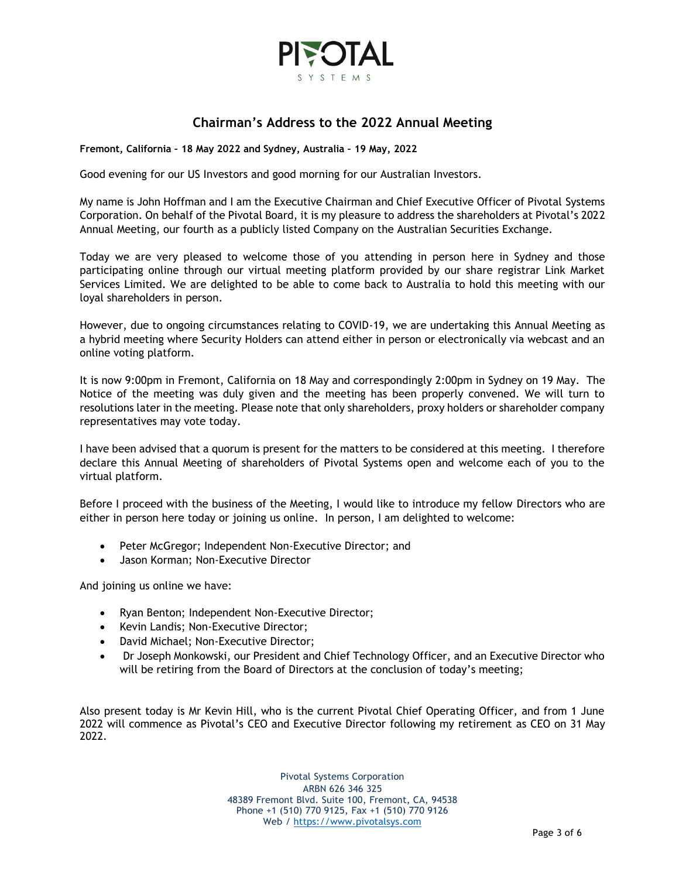

# **Chairman's Address to the 2022 Annual Meeting**

**Fremont, California – 18 May 2022 and Sydney, Australia – 19 May, 2022**

Good evening for our US Investors and good morning for our Australian Investors.

My name is John Hoffman and I am the Executive Chairman and Chief Executive Officer of Pivotal Systems Corporation. On behalf of the Pivotal Board, it is my pleasure to address the shareholders at Pivotal's 2022 Annual Meeting, our fourth as a publicly listed Company on the Australian Securities Exchange.

Today we are very pleased to welcome those of you attending in person here in Sydney and those participating online through our virtual meeting platform provided by our share registrar Link Market Services Limited. We are delighted to be able to come back to Australia to hold this meeting with our loyal shareholders in person.

However, due to ongoing circumstances relating to COVID-19, we are undertaking this Annual Meeting as a hybrid meeting where Security Holders can attend either in person or electronically via webcast and an online voting platform.

It is now 9:00pm in Fremont, California on 18 May and correspondingly 2:00pm in Sydney on 19 May. The Notice of the meeting was duly given and the meeting has been properly convened. We will turn to resolutions later in the meeting. Please note that only shareholders, proxy holders or shareholder company representatives may vote today.

I have been advised that a quorum is present for the matters to be considered at this meeting. I therefore declare this Annual Meeting of shareholders of Pivotal Systems open and welcome each of you to the virtual platform.

Before I proceed with the business of the Meeting, I would like to introduce my fellow Directors who are either in person here today or joining us online. In person, I am delighted to welcome:

- Peter McGregor; Independent Non-Executive Director; and
- Jason Korman; Non-Executive Director

And joining us online we have:

- Ryan Benton; Independent Non-Executive Director;
- Kevin Landis; Non-Executive Director;
- David Michael; Non-Executive Director;
- Dr Joseph Monkowski, our President and Chief Technology Officer, and an Executive Director who will be retiring from the Board of Directors at the conclusion of today's meeting;

Also present today is Mr Kevin Hill, who is the current Pivotal Chief Operating Officer, and from 1 June 2022 will commence as Pivotal's CEO and Executive Director following my retirement as CEO on 31 May 2022.

> Pivotal Systems Corporation ARBN 626 346 325 48389 Fremont Blvd. Suite 100, Fremont, CA, 94538 Phone +1 (510) 770 9125, Fax +1 (510) 770 9126 Web / [https://www.pivotalsys.com](https://www.pivotalsys.com/)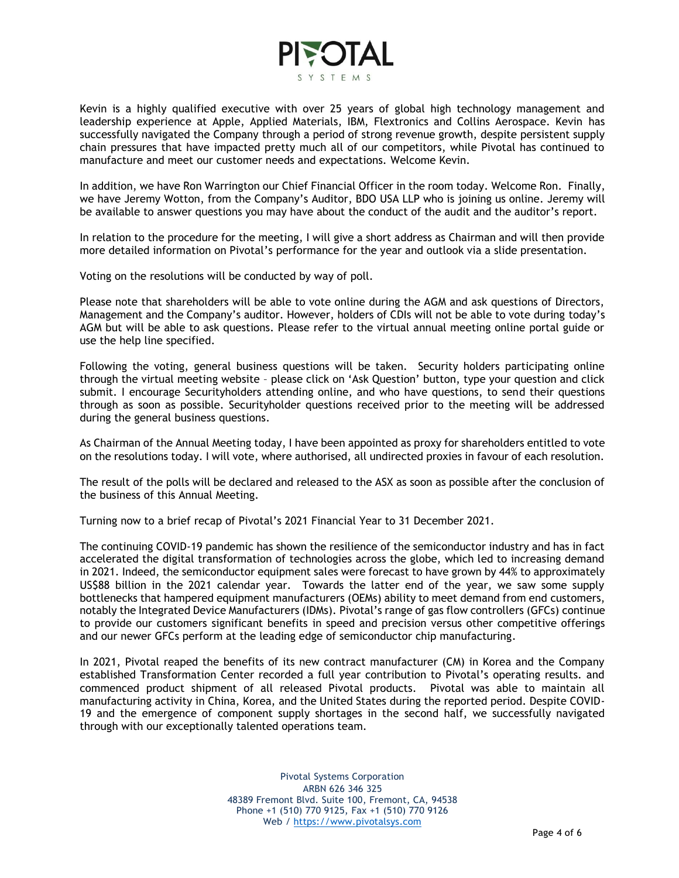

Kevin is a highly qualified executive with over 25 years of global high technology management and leadership experience at Apple, Applied Materials, IBM, Flextronics and Collins Aerospace. Kevin has successfully navigated the Company through a period of strong revenue growth, despite persistent supply chain pressures that have impacted pretty much all of our competitors, while Pivotal has continued to manufacture and meet our customer needs and expectations. Welcome Kevin.

In addition, we have Ron Warrington our Chief Financial Officer in the room today. Welcome Ron. Finally, we have Jeremy Wotton, from the Company's Auditor, BDO USA LLP who is joining us online. Jeremy will be available to answer questions you may have about the conduct of the audit and the auditor's report.

In relation to the procedure for the meeting, I will give a short address as Chairman and will then provide more detailed information on Pivotal's performance for the year and outlook via a slide presentation.

Voting on the resolutions will be conducted by way of poll.

Please note that shareholders will be able to vote online during the AGM and ask questions of Directors, Management and the Company's auditor. However, holders of CDIs will not be able to vote during today's AGM but will be able to ask questions. Please refer to the virtual annual meeting online portal guide or use the help line specified.

Following the voting, general business questions will be taken. Security holders participating online through the virtual meeting website – please click on 'Ask Question' button, type your question and click submit. I encourage Securityholders attending online, and who have questions, to send their questions through as soon as possible. Securityholder questions received prior to the meeting will be addressed during the general business questions.

As Chairman of the Annual Meeting today, I have been appointed as proxy for shareholders entitled to vote on the resolutions today. I will vote, where authorised, all undirected proxies in favour of each resolution.

The result of the polls will be declared and released to the ASX as soon as possible after the conclusion of the business of this Annual Meeting.

Turning now to a brief recap of Pivotal's 2021 Financial Year to 31 December 2021.

The continuing COVID-19 pandemic has shown the resilience of the semiconductor industry and has in fact accelerated the digital transformation of technologies across the globe, which led to increasing demand in 2021. Indeed, the semiconductor equipment sales were forecast to have grown by 44% to approximately US\$88 billion in the 2021 calendar year. Towards the latter end of the year, we saw some supply bottlenecks that hampered equipment manufacturers (OEMs) ability to meet demand from end customers, notably the Integrated Device Manufacturers (IDMs). Pivotal's range of gas flow controllers (GFCs) continue to provide our customers significant benefits in speed and precision versus other competitive offerings and our newer GFCs perform at the leading edge of semiconductor chip manufacturing.

In 2021, Pivotal reaped the benefits of its new contract manufacturer (CM) in Korea and the Company established Transformation Center recorded a full year contribution to Pivotal's operating results. and commenced product shipment of all released Pivotal products. Pivotal was able to maintain all manufacturing activity in China, Korea, and the United States during the reported period. Despite COVID-19 and the emergence of component supply shortages in the second half, we successfully navigated through with our exceptionally talented operations team.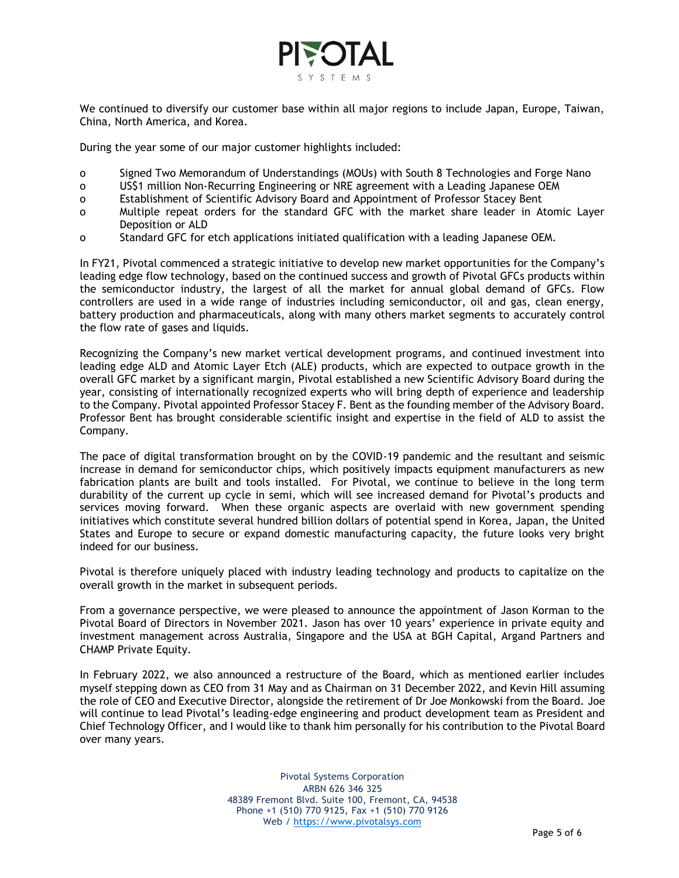

We continued to diversify our customer base within all major regions to include Japan, Europe, Taiwan, China, North America, and Korea.

During the year some of our major customer highlights included:

- o Signed Two Memorandum of Understandings (MOUs) with South 8 Technologies and Forge Nano
- o US\$1 million Non-Recurring Engineering or NRE agreement with a Leading Japanese OEM
- o Establishment of Scientific Advisory Board and Appointment of Professor Stacey Bent
- o Multiple repeat orders for the standard GFC with the market share leader in Atomic Layer Deposition or ALD
- o Standard GFC for etch applications initiated qualification with a leading Japanese OEM.

In FY21, Pivotal commenced a strategic initiative to develop new market opportunities for the Company's leading edge flow technology, based on the continued success and growth of Pivotal GFCs products within the semiconductor industry, the largest of all the market for annual global demand of GFCs. Flow controllers are used in a wide range of industries including semiconductor, oil and gas, clean energy, battery production and pharmaceuticals, along with many others market segments to accurately control the flow rate of gases and liquids.

Recognizing the Company's new market vertical development programs, and continued investment into leading edge ALD and Atomic Layer Etch (ALE) products, which are expected to outpace growth in the overall GFC market by a significant margin, Pivotal established a new Scientific Advisory Board during the year, consisting of internationally recognized experts who will bring depth of experience and leadership to the Company. Pivotal appointed Professor Stacey F. Bent as the founding member of the Advisory Board. Professor Bent has brought considerable scientific insight and expertise in the field of ALD to assist the Company.

The pace of digital transformation brought on by the COVID-19 pandemic and the resultant and seismic increase in demand for semiconductor chips, which positively impacts equipment manufacturers as new fabrication plants are built and tools installed. For Pivotal, we continue to believe in the long term durability of the current up cycle in semi, which will see increased demand for Pivotal's products and services moving forward. When these organic aspects are overlaid with new government spending initiatives which constitute several hundred billion dollars of potential spend in Korea, Japan, the United States and Europe to secure or expand domestic manufacturing capacity, the future looks very bright indeed for our business.

Pivotal is therefore uniquely placed with industry leading technology and products to capitalize on the overall growth in the market in subsequent periods.

From a governance perspective, we were pleased to announce the appointment of Jason Korman to the Pivotal Board of Directors in November 2021. Jason has over 10 years' experience in private equity and investment management across Australia, Singapore and the USA at BGH Capital, Argand Partners and CHAMP Private Equity.

In February 2022, we also announced a restructure of the Board, which as mentioned earlier includes myself stepping down as CEO from 31 May and as Chairman on 31 December 2022, and Kevin Hill assuming the role of CEO and Executive Director, alongside the retirement of Dr Joe Monkowski from the Board. Joe will continue to lead Pivotal's leading-edge engineering and product development team as President and Chief Technology Officer, and I would like to thank him personally for his contribution to the Pivotal Board over many years.